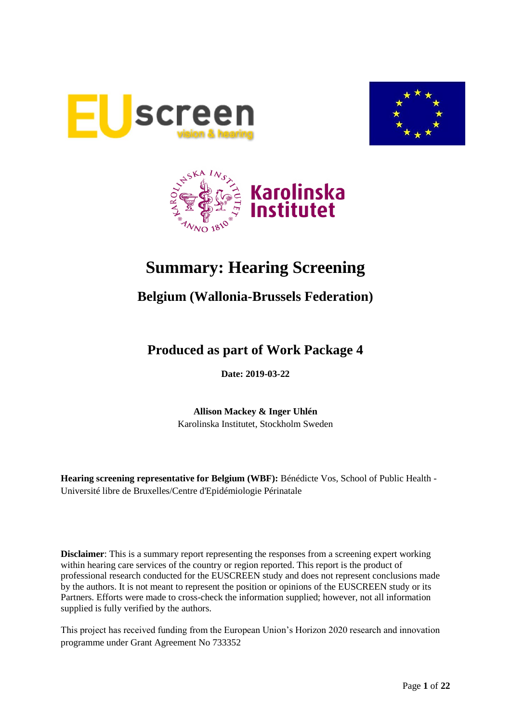





# **Summary: Hearing Screening**

## **Belgium (Wallonia-Brussels Federation)**

## **Produced as part of Work Package 4**

**Date: 2019-03-22**

**Allison Mackey & Inger Uhlén** Karolinska Institutet, Stockholm Sweden

**Hearing screening representative for Belgium (WBF):** Bénédicte Vos, School of Public Health - Université libre de Bruxelles/Centre d'Epidémiologie Périnatale

**Disclaimer**: This is a summary report representing the responses from a screening expert working within hearing care services of the country or region reported. This report is the product of professional research conducted for the EUSCREEN study and does not represent conclusions made by the authors. It is not meant to represent the position or opinions of the EUSCREEN study or its Partners. Efforts were made to cross-check the information supplied; however, not all information supplied is fully verified by the authors.

This project has received funding from the European Union's Horizon 2020 research and innovation programme under Grant Agreement No 733352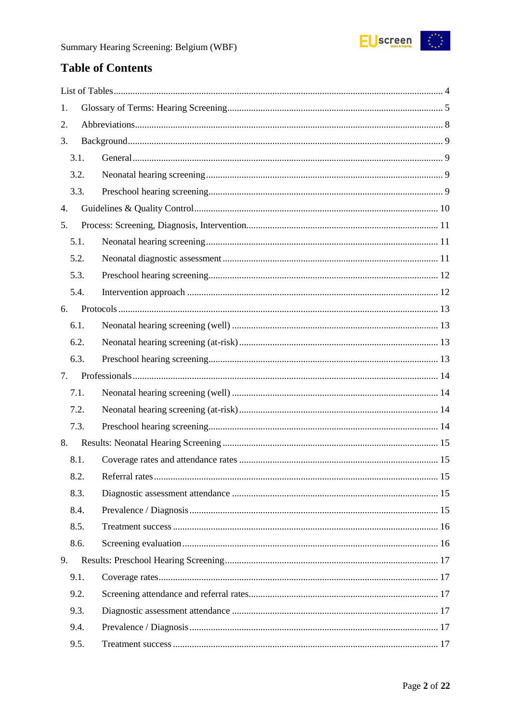

## **Table of Contents**

| 1. |      |  |
|----|------|--|
| 2. |      |  |
| 3. |      |  |
|    | 3.1. |  |
|    | 3.2. |  |
|    | 3.3. |  |
| 4. |      |  |
| 5. |      |  |
|    | 5.1. |  |
|    | 5.2. |  |
|    | 5.3. |  |
|    | 5.4. |  |
| 6. |      |  |
|    | 6.1. |  |
|    | 6.2. |  |
|    | 6.3. |  |
| 7. |      |  |
|    | 7.1. |  |
|    | 7.2. |  |
|    | 7.3. |  |
| 8. |      |  |
|    | 8.1. |  |
|    | 8.2. |  |
|    | 8.3. |  |
|    | 8.4. |  |
|    | 8.5. |  |
|    | 8.6. |  |
| 9. |      |  |
|    | 9.1. |  |
|    | 9.2. |  |
|    | 9.3. |  |
|    | 9.4. |  |
|    | 9.5. |  |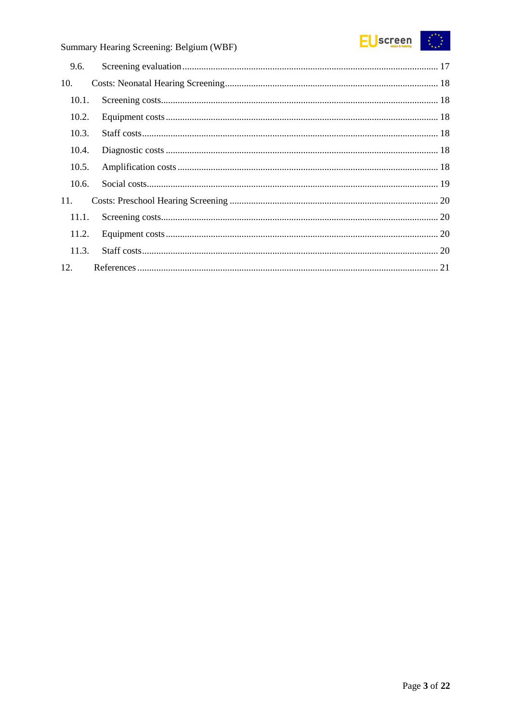

| 9.6.  |  |
|-------|--|
| 10.   |  |
| 10.1. |  |
| 10.2. |  |
| 10.3. |  |
| 10.4. |  |
| 10.5. |  |
| 10.6. |  |
| 11.   |  |
| 11.1. |  |
| 11.2. |  |
| 11.3. |  |
| 12.   |  |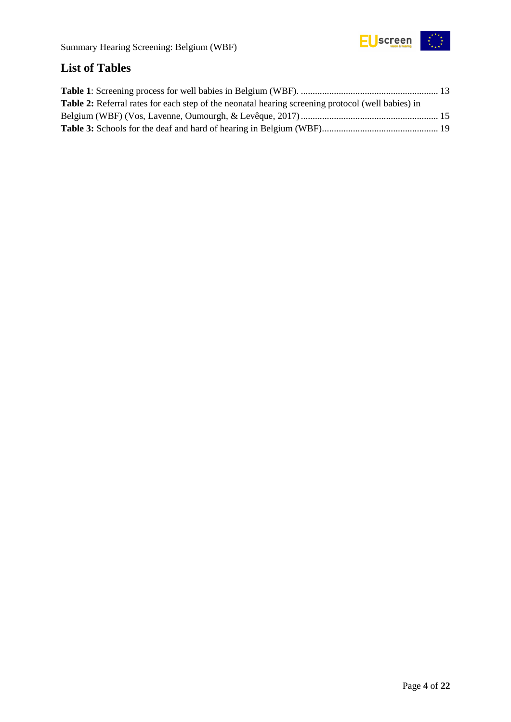## <span id="page-3-0"></span>**List of Tables**

| <b>Table 2:</b> Referral rates for each step of the neonatal hearing screening protocol (well babies) in |  |
|----------------------------------------------------------------------------------------------------------|--|
|                                                                                                          |  |
|                                                                                                          |  |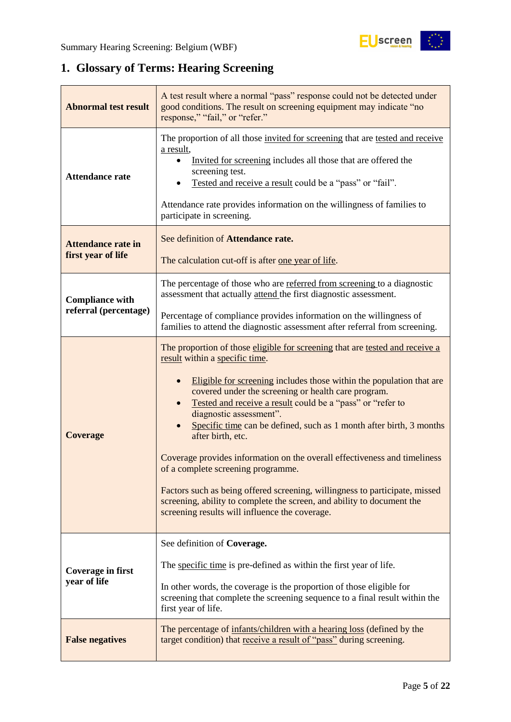

## <span id="page-4-0"></span>**1. Glossary of Terms: Hearing Screening**

| <b>Abnormal test result</b>                     | A test result where a normal "pass" response could not be detected under<br>good conditions. The result on screening equipment may indicate "no<br>response," "fail," or "refer."                                                                                                                                                                                                                                                                                                                                                                                                                                                                                                                                                                                |  |  |
|-------------------------------------------------|------------------------------------------------------------------------------------------------------------------------------------------------------------------------------------------------------------------------------------------------------------------------------------------------------------------------------------------------------------------------------------------------------------------------------------------------------------------------------------------------------------------------------------------------------------------------------------------------------------------------------------------------------------------------------------------------------------------------------------------------------------------|--|--|
| <b>Attendance rate</b>                          | The proportion of all those invited for screening that are tested and receive<br>a result,<br>Invited for screening includes all those that are offered the<br>screening test.<br>Tested and receive a result could be a "pass" or "fail".<br>Attendance rate provides information on the willingness of families to<br>participate in screening.                                                                                                                                                                                                                                                                                                                                                                                                                |  |  |
| <b>Attendance rate in</b><br>first year of life | See definition of Attendance rate.<br>The calculation cut-off is after one year of life.                                                                                                                                                                                                                                                                                                                                                                                                                                                                                                                                                                                                                                                                         |  |  |
| <b>Compliance with</b>                          | The percentage of those who are referred from screening to a diagnostic<br>assessment that actually attend the first diagnostic assessment.                                                                                                                                                                                                                                                                                                                                                                                                                                                                                                                                                                                                                      |  |  |
| referral (percentage)                           | Percentage of compliance provides information on the willingness of<br>families to attend the diagnostic assessment after referral from screening.                                                                                                                                                                                                                                                                                                                                                                                                                                                                                                                                                                                                               |  |  |
| <b>Coverage</b>                                 | The proportion of those eligible for screening that are tested and receive a<br>result within a specific time.<br>Eligible for screening includes those within the population that are<br>covered under the screening or health care program.<br>Tested and receive a result could be a "pass" or "refer to<br>diagnostic assessment".<br>Specific time can be defined, such as 1 month after birth, 3 months<br>after birth, etc.<br>Coverage provides information on the overall effectiveness and timeliness<br>of a complete screening programme.<br>Factors such as being offered screening, willingness to participate, missed<br>screening, ability to complete the screen, and ability to document the<br>screening results will influence the coverage. |  |  |
| <b>Coverage in first</b><br>year of life        | See definition of Coverage.<br>The specific time is pre-defined as within the first year of life.<br>In other words, the coverage is the proportion of those eligible for<br>screening that complete the screening sequence to a final result within the<br>first year of life.                                                                                                                                                                                                                                                                                                                                                                                                                                                                                  |  |  |
| <b>False negatives</b>                          | The percentage of infants/children with a hearing loss (defined by the<br>target condition) that receive a result of "pass" during screening.                                                                                                                                                                                                                                                                                                                                                                                                                                                                                                                                                                                                                    |  |  |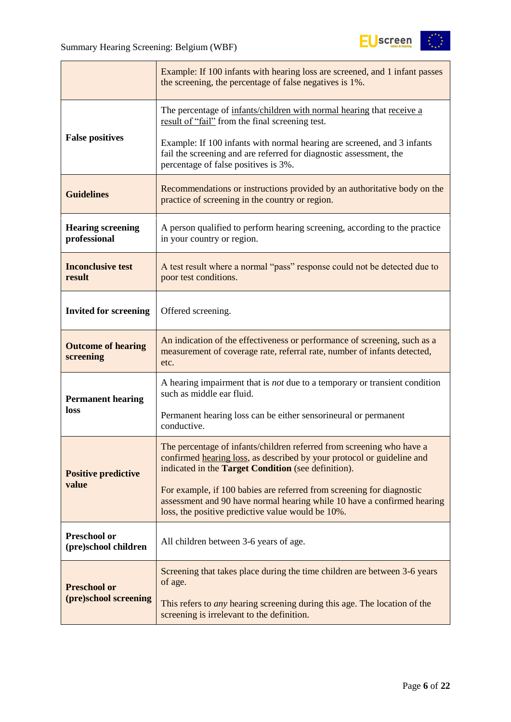

|                                             | Example: If 100 infants with hearing loss are screened, and 1 infant passes<br>the screening, the percentage of false negatives is 1%.                                                                 |  |  |
|---------------------------------------------|--------------------------------------------------------------------------------------------------------------------------------------------------------------------------------------------------------|--|--|
|                                             | The percentage of infants/children with normal hearing that receive a<br>result of "fail" from the final screening test.                                                                               |  |  |
| <b>False positives</b>                      | Example: If 100 infants with normal hearing are screened, and 3 infants<br>fail the screening and are referred for diagnostic assessment, the<br>percentage of false positives is 3%.                  |  |  |
| <b>Guidelines</b>                           | Recommendations or instructions provided by an authoritative body on the<br>practice of screening in the country or region.                                                                            |  |  |
| <b>Hearing screening</b><br>professional    | A person qualified to perform hearing screening, according to the practice<br>in your country or region.                                                                                               |  |  |
| <b>Inconclusive test</b><br>result          | A test result where a normal "pass" response could not be detected due to<br>poor test conditions.                                                                                                     |  |  |
| <b>Invited for screening</b>                | Offered screening.                                                                                                                                                                                     |  |  |
| <b>Outcome of hearing</b><br>screening      | An indication of the effectiveness or performance of screening, such as a<br>measurement of coverage rate, referral rate, number of infants detected,<br>etc.                                          |  |  |
| <b>Permanent hearing</b>                    | A hearing impairment that is <i>not</i> due to a temporary or transient condition<br>such as middle ear fluid.                                                                                         |  |  |
| loss                                        | Permanent hearing loss can be either sensorineural or permanent<br>conductive.                                                                                                                         |  |  |
| <b>Positive predictive</b>                  | The percentage of infants/children referred from screening who have a<br>confirmed hearing loss, as described by your protocol or guideline and<br>indicated in the Target Condition (see definition). |  |  |
| value                                       | For example, if 100 babies are referred from screening for diagnostic<br>assessment and 90 have normal hearing while 10 have a confirmed hearing<br>loss, the positive predictive value would be 10%.  |  |  |
| <b>Preschool or</b><br>(pre)school children | All children between 3-6 years of age.                                                                                                                                                                 |  |  |
| <b>Preschool or</b>                         | Screening that takes place during the time children are between 3-6 years<br>of age.                                                                                                                   |  |  |
| (pre)school screening                       | This refers to <i>any</i> hearing screening during this age. The location of the<br>screening is irrelevant to the definition.                                                                         |  |  |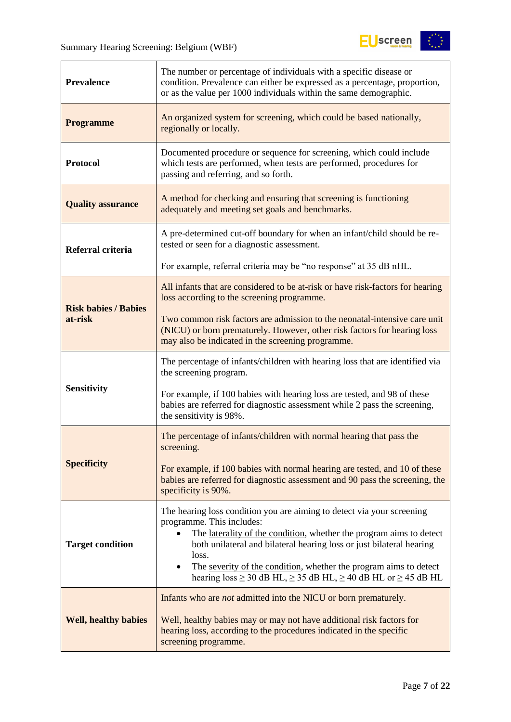

| <b>Prevalence</b>                      | The number or percentage of individuals with a specific disease or<br>condition. Prevalence can either be expressed as a percentage, proportion,<br>or as the value per 1000 individuals within the same demographic.                                                                                                                                                                                                  |  |
|----------------------------------------|------------------------------------------------------------------------------------------------------------------------------------------------------------------------------------------------------------------------------------------------------------------------------------------------------------------------------------------------------------------------------------------------------------------------|--|
| <b>Programme</b>                       | An organized system for screening, which could be based nationally,<br>regionally or locally.                                                                                                                                                                                                                                                                                                                          |  |
| <b>Protocol</b>                        | Documented procedure or sequence for screening, which could include<br>which tests are performed, when tests are performed, procedures for<br>passing and referring, and so forth.                                                                                                                                                                                                                                     |  |
| <b>Quality assurance</b>               | A method for checking and ensuring that screening is functioning<br>adequately and meeting set goals and benchmarks.                                                                                                                                                                                                                                                                                                   |  |
| Referral criteria                      | A pre-determined cut-off boundary for when an infant/child should be re-<br>tested or seen for a diagnostic assessment.                                                                                                                                                                                                                                                                                                |  |
|                                        | For example, referral criteria may be "no response" at 35 dB nHL.                                                                                                                                                                                                                                                                                                                                                      |  |
|                                        | All infants that are considered to be at-risk or have risk-factors for hearing<br>loss according to the screening programme.                                                                                                                                                                                                                                                                                           |  |
| <b>Risk babies / Babies</b><br>at-risk | Two common risk factors are admission to the neonatal-intensive care unit<br>(NICU) or born prematurely. However, other risk factors for hearing loss<br>may also be indicated in the screening programme.                                                                                                                                                                                                             |  |
|                                        | The percentage of infants/children with hearing loss that are identified via<br>the screening program.                                                                                                                                                                                                                                                                                                                 |  |
| <b>Sensitivity</b>                     | For example, if 100 babies with hearing loss are tested, and 98 of these<br>babies are referred for diagnostic assessment while 2 pass the screening,<br>the sensitivity is 98%.                                                                                                                                                                                                                                       |  |
|                                        | The percentage of infants/children with normal hearing that pass the<br>screening.                                                                                                                                                                                                                                                                                                                                     |  |
| <b>Specificity</b>                     | For example, if 100 babies with normal hearing are tested, and 10 of these<br>babies are referred for diagnostic assessment and 90 pass the screening, the<br>specificity is 90%.                                                                                                                                                                                                                                      |  |
| <b>Target condition</b>                | The hearing loss condition you are aiming to detect via your screening<br>programme. This includes:<br>The laterality of the condition, whether the program aims to detect<br>both unilateral and bilateral hearing loss or just bilateral hearing<br>loss.<br>The severity of the condition, whether the program aims to detect<br>٠<br>hearing $loss \ge 30$ dB HL, $\ge 35$ dB HL, $\ge 40$ dB HL or $\ge 45$ dB HL |  |
| <b>Well, healthy babies</b>            | Infants who are <i>not</i> admitted into the NICU or born prematurely.<br>Well, healthy babies may or may not have additional risk factors for<br>hearing loss, according to the procedures indicated in the specific<br>screening programme.                                                                                                                                                                          |  |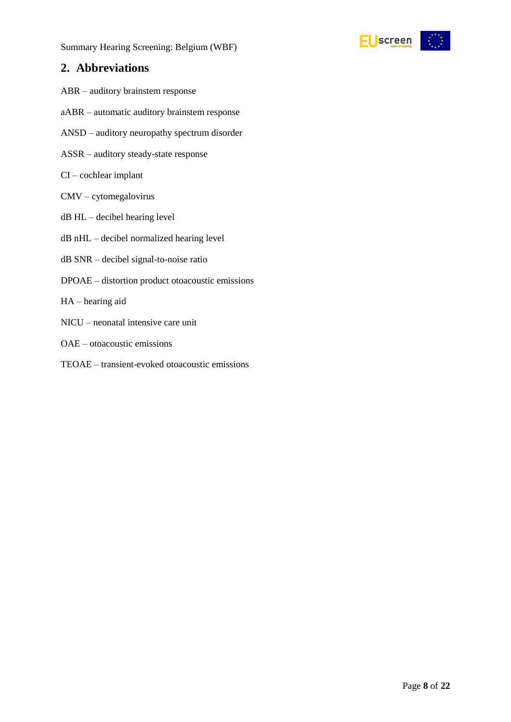

## <span id="page-7-0"></span>**2. Abbreviations**

- ABR auditory brainstem response
- aABR automatic auditory brainstem response
- ANSD auditory neuropathy spectrum disorder
- ASSR auditory steady-state response
- CI cochlear implant
- CMV cytomegalovirus
- dB HL decibel hearing level
- dB nHL decibel normalized hearing level
- dB SNR decibel signal-to-noise ratio
- DPOAE distortion product otoacoustic emissions
- HA hearing aid
- NICU neonatal intensive care unit
- OAE otoacoustic emissions
- TEOAE transient-evoked otoacoustic emissions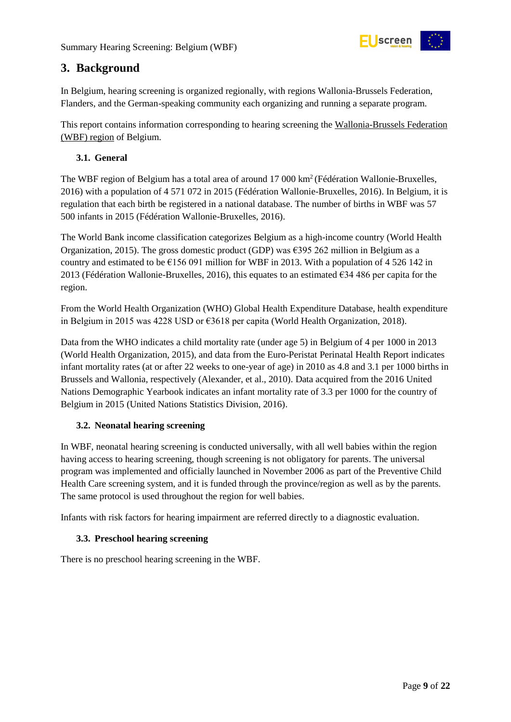

## <span id="page-8-0"></span>**3. Background**

In Belgium, hearing screening is organized regionally, with regions Wallonia-Brussels Federation, Flanders, and the German-speaking community each organizing and running a separate program.

This report contains information corresponding to hearing screening the Wallonia-Brussels Federation (WBF) region of Belgium.

#### <span id="page-8-1"></span>**3.1. General**

The WBF region of Belgium has a total area of around 17 000 km<sup>2</sup> (Fédération Wallonie-Bruxelles, 2016) with a population of 4 571 072 in 2015 (Fédération Wallonie-Bruxelles, 2016). In Belgium, it is regulation that each birth be registered in a national database. The number of births in WBF was 57 500 infants in 2015 (Fédération Wallonie-Bruxelles, 2016).

The World Bank income classification categorizes Belgium as a high-income country (World Health Organization, 2015). The gross domestic product (GDP) was  $\epsilon$ 395 262 million in Belgium as a country and estimated to be  $E156 091$  million for WBF in 2013. With a population of 4 526 142 in 2013 (Fédération Wallonie-Bruxelles, 2016), this equates to an estimated €34 486 per capita for the region.

From the World Health Organization (WHO) Global Health Expenditure Database, health expenditure in Belgium in 2015 was 4228 USD or €3618 per capita (World Health Organization, 2018).

Data from the WHO indicates a child mortality rate (under age 5) in Belgium of 4 per 1000 in 2013 (World Health Organization, 2015), and data from the Euro-Peristat Perinatal Health Report indicates infant mortality rates (at or after 22 weeks to one-year of age) in 2010 as 4.8 and 3.1 per 1000 births in Brussels and Wallonia, respectively (Alexander, et al., 2010). Data acquired from the 2016 United Nations Demographic Yearbook indicates an infant mortality rate of 3.3 per 1000 for the country of Belgium in 2015 (United Nations Statistics Division, 2016).

#### <span id="page-8-2"></span>**3.2. Neonatal hearing screening**

In WBF, neonatal hearing screening is conducted universally, with all well babies within the region having access to hearing screening, though screening is not obligatory for parents. The universal program was implemented and officially launched in November 2006 as part of the Preventive Child Health Care screening system, and it is funded through the province/region as well as by the parents. The same protocol is used throughout the region for well babies.

Infants with risk factors for hearing impairment are referred directly to a diagnostic evaluation.

#### <span id="page-8-3"></span>**3.3. Preschool hearing screening**

There is no preschool hearing screening in the WBF.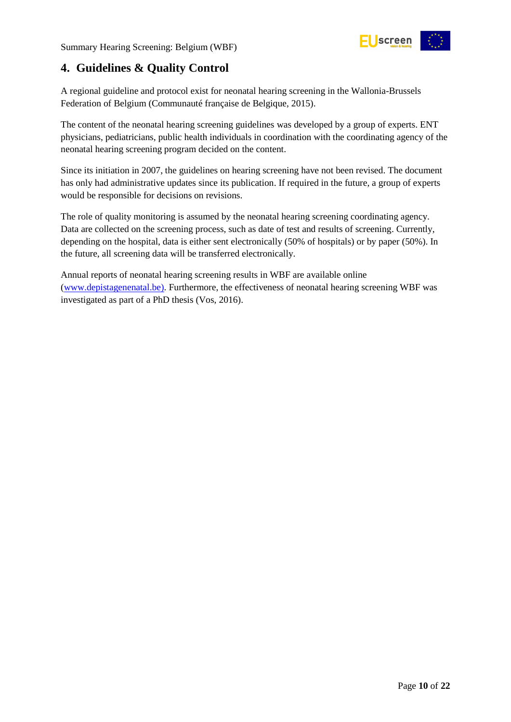

## <span id="page-9-0"></span>**4. Guidelines & Quality Control**

A regional guideline and protocol exist for neonatal hearing screening in the Wallonia-Brussels Federation of Belgium (Communauté française de Belgique, 2015).

The content of the neonatal hearing screening guidelines was developed by a group of experts. ENT physicians, pediatricians, public health individuals in coordination with the coordinating agency of the neonatal hearing screening program decided on the content.

Since its initiation in 2007, the guidelines on hearing screening have not been revised. The document has only had administrative updates since its publication. If required in the future, a group of experts would be responsible for decisions on revisions.

The role of quality monitoring is assumed by the neonatal hearing screening coordinating agency. Data are collected on the screening process, such as date of test and results of screening. Currently, depending on the hospital, data is either sent electronically (50% of hospitals) or by paper (50%). In the future, all screening data will be transferred electronically.

Annual reports of neonatal hearing screening results in WBF are available online [\(www.depistagenenatal.be\)](http://www.depistagenenatal.be/). Furthermore, the effectiveness of neonatal hearing screening WBF was investigated as part of a PhD thesis (Vos, 2016).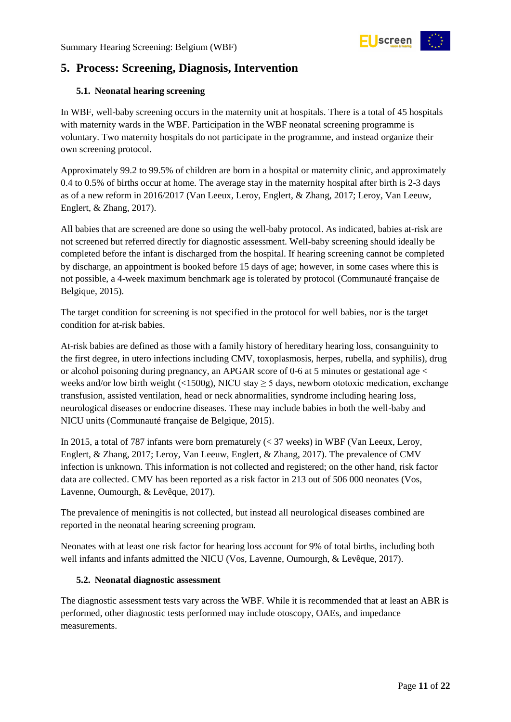

## <span id="page-10-0"></span>**5. Process: Screening, Diagnosis, Intervention**

#### <span id="page-10-1"></span>**5.1. Neonatal hearing screening**

In WBF, well-baby screening occurs in the maternity unit at hospitals. There is a total of 45 hospitals with maternity wards in the WBF. Participation in the WBF neonatal screening programme is voluntary. Two maternity hospitals do not participate in the programme, and instead organize their own screening protocol.

Approximately 99.2 to 99.5% of children are born in a hospital or maternity clinic, and approximately 0.4 to 0.5% of births occur at home. The average stay in the maternity hospital after birth is 2-3 days as of a new reform in 2016/2017 (Van Leeux, Leroy, Englert, & Zhang, 2017; Leroy, Van Leeuw, Englert, & Zhang, 2017).

All babies that are screened are done so using the well-baby protocol. As indicated, babies at-risk are not screened but referred directly for diagnostic assessment. Well-baby screening should ideally be completed before the infant is discharged from the hospital. If hearing screening cannot be completed by discharge, an appointment is booked before 15 days of age; however, in some cases where this is not possible, a 4-week maximum benchmark age is tolerated by protocol (Communauté française de Belgique, 2015).

The target condition for screening is not specified in the protocol for well babies, nor is the target condition for at-risk babies.

At-risk babies are defined as those with a family history of hereditary hearing loss, consanguinity to the first degree, in utero infections including CMV, toxoplasmosis, herpes, rubella, and syphilis), drug or alcohol poisoning during pregnancy, an APGAR score of 0-6 at 5 minutes or gestational age  $\lt$ weeks and/or low birth weight  $\left($ <1500g), NICU stay  $\geq$  5 days, newborn ototoxic medication, exchange transfusion, assisted ventilation, head or neck abnormalities, syndrome including hearing loss, neurological diseases or endocrine diseases. These may include babies in both the well-baby and NICU units (Communauté française de Belgique, 2015).

In 2015, a total of 787 infants were born prematurely (< 37 weeks) in WBF (Van Leeux, Leroy, Englert, & Zhang, 2017; Leroy, Van Leeuw, Englert, & Zhang, 2017). The prevalence of CMV infection is unknown. This information is not collected and registered; on the other hand, risk factor data are collected. CMV has been reported as a risk factor in 213 out of 506 000 neonates (Vos, Lavenne, Oumourgh, & Levêque, 2017).

The prevalence of meningitis is not collected, but instead all neurological diseases combined are reported in the neonatal hearing screening program.

Neonates with at least one risk factor for hearing loss account for 9% of total births, including both well infants and infants admitted the NICU (Vos, Lavenne, Oumourgh, & Levêque, 2017).

#### <span id="page-10-2"></span>**5.2. Neonatal diagnostic assessment**

The diagnostic assessment tests vary across the WBF. While it is recommended that at least an ABR is performed, other diagnostic tests performed may include otoscopy, OAEs, and impedance measurements.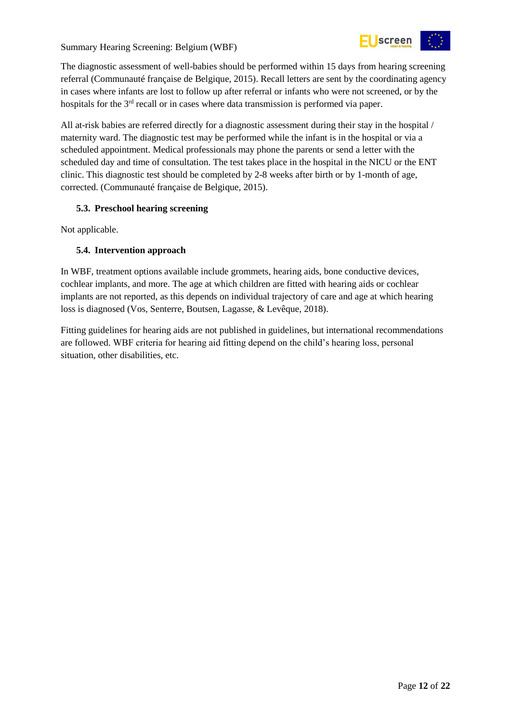

The diagnostic assessment of well-babies should be performed within 15 days from hearing screening referral (Communauté française de Belgique, 2015). Recall letters are sent by the coordinating agency in cases where infants are lost to follow up after referral or infants who were not screened, or by the hospitals for the 3<sup>rd</sup> recall or in cases where data transmission is performed via paper.

All at-risk babies are referred directly for a diagnostic assessment during their stay in the hospital / maternity ward. The diagnostic test may be performed while the infant is in the hospital or via a scheduled appointment. Medical professionals may phone the parents or send a letter with the scheduled day and time of consultation. The test takes place in the hospital in the NICU or the ENT clinic. This diagnostic test should be completed by 2-8 weeks after birth or by 1-month of age, corrected. (Communauté française de Belgique, 2015).

#### <span id="page-11-0"></span>**5.3. Preschool hearing screening**

Not applicable.

#### <span id="page-11-1"></span>**5.4. Intervention approach**

In WBF, treatment options available include grommets, hearing aids, bone conductive devices, cochlear implants, and more. The age at which children are fitted with hearing aids or cochlear implants are not reported, as this depends on individual trajectory of care and age at which hearing loss is diagnosed (Vos, Senterre, Boutsen, Lagasse, & Levêque, 2018).

Fitting guidelines for hearing aids are not published in guidelines, but international recommendations are followed. WBF criteria for hearing aid fitting depend on the child's hearing loss, personal situation, other disabilities, etc.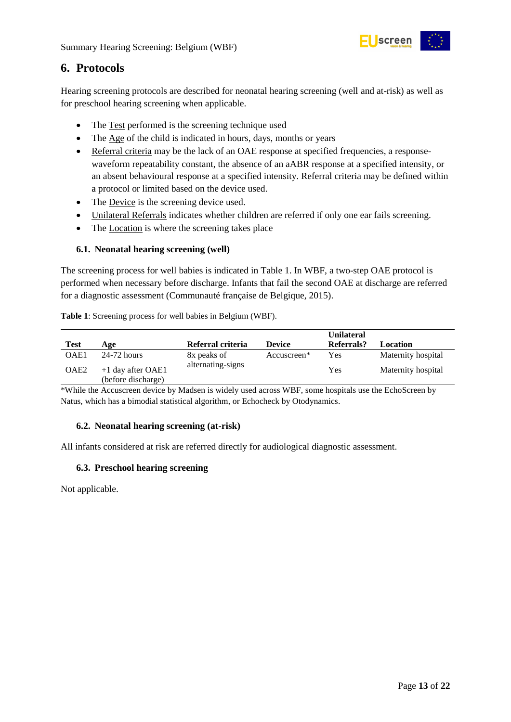

## <span id="page-12-0"></span>**6. Protocols**

Hearing screening protocols are described for neonatal hearing screening (well and at-risk) as well as for preschool hearing screening when applicable.

- The Test performed is the screening technique used
- The Age of the child is indicated in hours, days, months or years
- Referral criteria may be the lack of an OAE response at specified frequencies, a responsewaveform repeatability constant, the absence of an aABR response at a specified intensity, or an absent behavioural response at a specified intensity. Referral criteria may be defined within a protocol or limited based on the device used.
- The Device is the screening device used.
- Unilateral Referrals indicates whether children are referred if only one ear fails screening.
- The Location is where the screening takes place

#### <span id="page-12-1"></span>**6.1. Neonatal hearing screening (well)**

The screening process for well babies is indicated in [Table 1.](#page-12-4) In WBF, a two-step OAE protocol is performed when necessary before discharge. Infants that fail the second OAE at discharge are referred for a diagnostic assessment (Communauté française de Belgique, 2015).

|                  |                                           |                   |               | <b>Unilateral</b> |                    |
|------------------|-------------------------------------------|-------------------|---------------|-------------------|--------------------|
| <b>Test</b>      | Age                                       | Referral criteria | <b>Device</b> | Referrals?        | Location           |
| OAE1             | $24-72$ hours                             | 8x peaks of       | Accuscreen*   | Yes               | Maternity hospital |
| OAE <sub>2</sub> | $+1$ day after OAE1<br>(before discharge) | alternating-signs |               | Yes               | Maternity hospital |

<span id="page-12-4"></span>**Table 1**: Screening process for well babies in Belgium (WBF).

\*While the Accuscreen device by Madsen is widely used across WBF, some hospitals use the EchoScreen by Natus, which has a bimodial statistical algorithm, or Echocheck by Otodynamics.

#### <span id="page-12-2"></span>**6.2. Neonatal hearing screening (at-risk)**

All infants considered at risk are referred directly for audiological diagnostic assessment.

#### <span id="page-12-3"></span>**6.3. Preschool hearing screening**

Not applicable.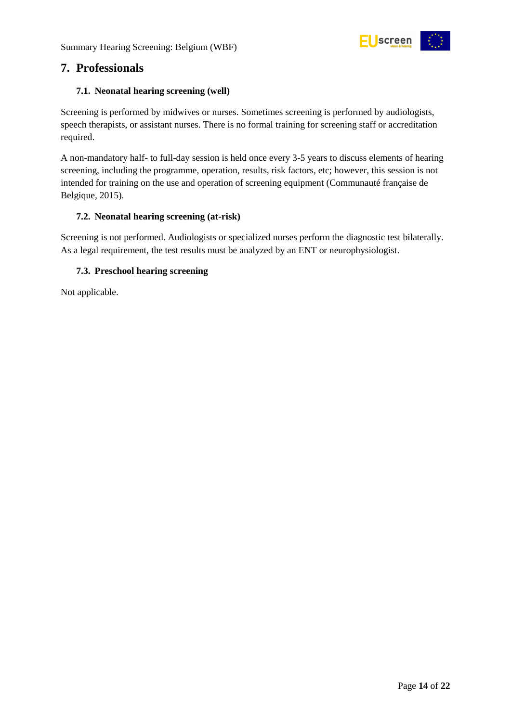

### <span id="page-13-0"></span>**7. Professionals**

#### <span id="page-13-1"></span>**7.1. Neonatal hearing screening (well)**

Screening is performed by midwives or nurses. Sometimes screening is performed by audiologists, speech therapists, or assistant nurses. There is no formal training for screening staff or accreditation required.

A non-mandatory half- to full-day session is held once every 3-5 years to discuss elements of hearing screening, including the programme, operation, results, risk factors, etc; however, this session is not intended for training on the use and operation of screening equipment (Communauté française de Belgique, 2015).

#### <span id="page-13-2"></span>**7.2. Neonatal hearing screening (at-risk)**

Screening is not performed. Audiologists or specialized nurses perform the diagnostic test bilaterally. As a legal requirement, the test results must be analyzed by an ENT or neurophysiologist.

#### <span id="page-13-3"></span>**7.3. Preschool hearing screening**

Not applicable.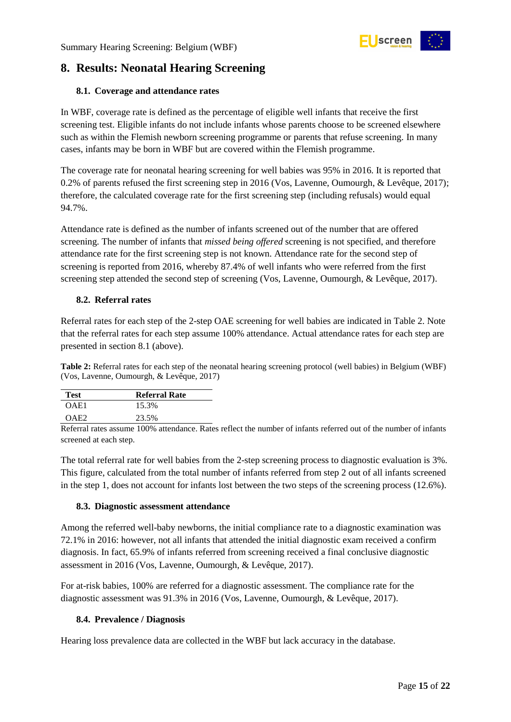

## <span id="page-14-0"></span>**8. Results: Neonatal Hearing Screening**

#### <span id="page-14-1"></span>**8.1. Coverage and attendance rates**

In WBF, coverage rate is defined as the percentage of eligible well infants that receive the first screening test. Eligible infants do not include infants whose parents choose to be screened elsewhere such as within the Flemish newborn screening programme or parents that refuse screening. In many cases, infants may be born in WBF but are covered within the Flemish programme.

The coverage rate for neonatal hearing screening for well babies was 95% in 2016. It is reported that 0.2% of parents refused the first screening step in 2016 (Vos, Lavenne, Oumourgh, & Levêque, 2017); therefore, the calculated coverage rate for the first screening step (including refusals) would equal 94.7%.

Attendance rate is defined as the number of infants screened out of the number that are offered screening. The number of infants that *missed being offered* screening is not specified, and therefore attendance rate for the first screening step is not known. Attendance rate for the second step of screening is reported from 2016, whereby 87.4% of well infants who were referred from the first screening step attended the second step of screening (Vos, Lavenne, Oumourgh, & Levêque, 2017).

#### <span id="page-14-2"></span>**8.2. Referral rates**

Referral rates for each step of the 2-step OAE screening for well babies are indicated in [Table 2.](#page-14-5) Note that the referral rates for each step assume 100% attendance. Actual attendance rates for each step are presented in section 8.1 (above).

<span id="page-14-5"></span>**Table 2:** Referral rates for each step of the neonatal hearing screening protocol (well babies) in Belgium (WBF) (Vos, Lavenne, Oumourgh, & Levêque, 2017)

| Test | <b>Referral Rate</b> |
|------|----------------------|
| OAE1 | 15.3%                |
| OAF2 | 23.5%                |

Referral rates assume 100% attendance. Rates reflect the number of infants referred out of the number of infants screened at each step.

The total referral rate for well babies from the 2-step screening process to diagnostic evaluation is 3%. This figure, calculated from the total number of infants referred from step 2 out of all infants screened in the step 1, does not account for infants lost between the two steps of the screening process (12.6%).

#### <span id="page-14-3"></span>**8.3. Diagnostic assessment attendance**

Among the referred well-baby newborns, the initial compliance rate to a diagnostic examination was 72.1% in 2016: however, not all infants that attended the initial diagnostic exam received a confirm diagnosis. In fact, 65.9% of infants referred from screening received a final conclusive diagnostic assessment in 2016 (Vos, Lavenne, Oumourgh, & Levêque, 2017).

For at-risk babies, 100% are referred for a diagnostic assessment. The compliance rate for the diagnostic assessment was 91.3% in 2016 (Vos, Lavenne, Oumourgh, & Levêque, 2017).

#### <span id="page-14-4"></span>**8.4. Prevalence / Diagnosis**

Hearing loss prevalence data are collected in the WBF but lack accuracy in the database.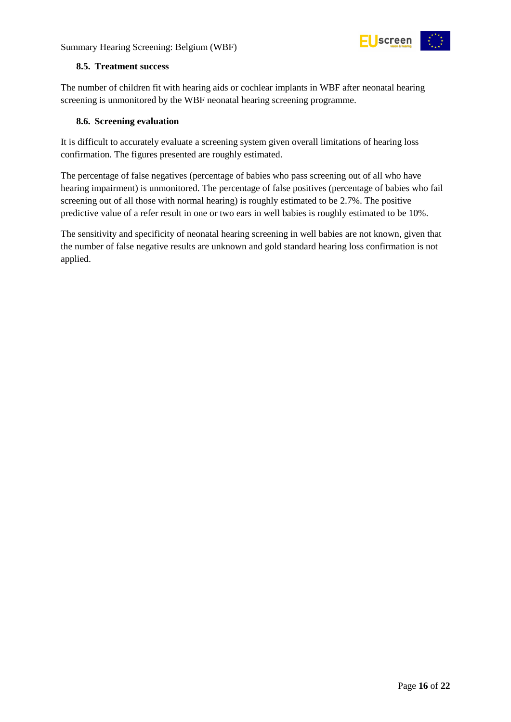

#### <span id="page-15-0"></span>**8.5. Treatment success**

The number of children fit with hearing aids or cochlear implants in WBF after neonatal hearing screening is unmonitored by the WBF neonatal hearing screening programme.

#### <span id="page-15-1"></span>**8.6. Screening evaluation**

It is difficult to accurately evaluate a screening system given overall limitations of hearing loss confirmation. The figures presented are roughly estimated.

The percentage of false negatives (percentage of babies who pass screening out of all who have hearing impairment) is unmonitored. The percentage of false positives (percentage of babies who fail screening out of all those with normal hearing) is roughly estimated to be 2.7%. The positive predictive value of a refer result in one or two ears in well babies is roughly estimated to be 10%.

The sensitivity and specificity of neonatal hearing screening in well babies are not known, given that the number of false negative results are unknown and gold standard hearing loss confirmation is not applied.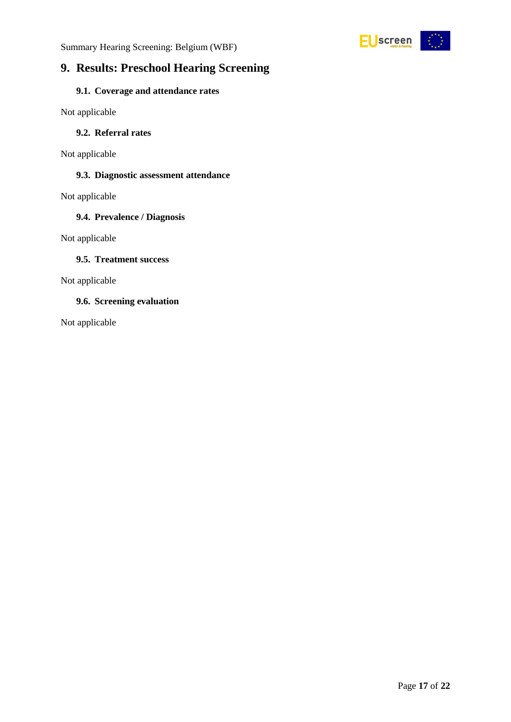

## <span id="page-16-0"></span>**9. Results: Preschool Hearing Screening**

#### <span id="page-16-1"></span>**9.1. Coverage and attendance rates**

Not applicable

#### <span id="page-16-2"></span>**9.2. Referral rates**

Not applicable

#### <span id="page-16-3"></span>**9.3. Diagnostic assessment attendance**

Not applicable

#### <span id="page-16-4"></span>**9.4. Prevalence / Diagnosis**

Not applicable

#### <span id="page-16-5"></span>**9.5. Treatment success**

Not applicable

#### <span id="page-16-6"></span>**9.6. Screening evaluation**

Not applicable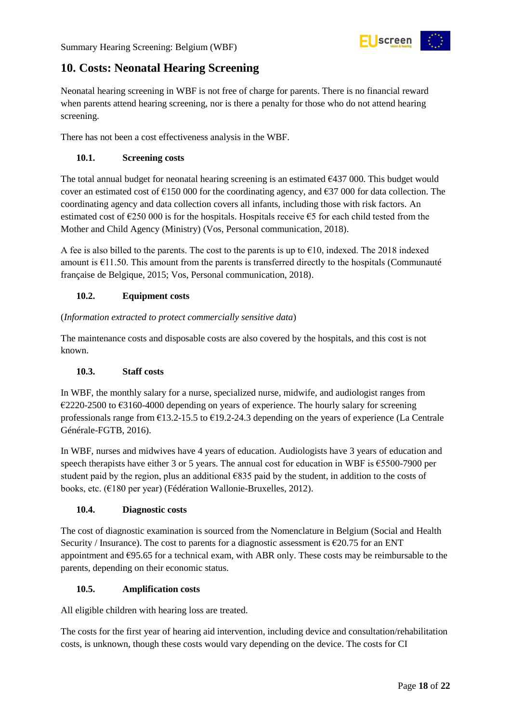

## <span id="page-17-0"></span>**10. Costs: Neonatal Hearing Screening**

Neonatal hearing screening in WBF is not free of charge for parents. There is no financial reward when parents attend hearing screening, nor is there a penalty for those who do not attend hearing screening.

There has not been a cost effectiveness analysis in the WBF.

#### <span id="page-17-1"></span>**10.1. Screening costs**

The total annual budget for neonatal hearing screening is an estimated  $6437000$ . This budget would cover an estimated cost of  $\epsilon$ 150 000 for the coordinating agency, and  $\epsilon$ 37 000 for data collection. The coordinating agency and data collection covers all infants, including those with risk factors. An estimated cost of  $\epsilon$ 250 000 is for the hospitals. Hospitals receive  $\epsilon$ 5 for each child tested from the Mother and Child Agency (Ministry) (Vos, Personal communication, 2018).

A fee is also billed to the parents. The cost to the parents is up to  $\epsilon$ 10, indexed. The 2018 indexed amount is  $£11.50$ . This amount from the parents is transferred directly to the hospitals (Communauté française de Belgique, 2015; Vos, Personal communication, 2018).

#### <span id="page-17-2"></span>**10.2. Equipment costs**

#### (*Information extracted to protect commercially sensitive data*)

The maintenance costs and disposable costs are also covered by the hospitals, and this cost is not known.

#### <span id="page-17-3"></span>**10.3. Staff costs**

In WBF, the monthly salary for a nurse, specialized nurse, midwife, and audiologist ranges from €2220-2500 to €3160-4000 depending on years of experience. The hourly salary for screening professionals range from  $\epsilon$ 13.2-15.5 to  $\epsilon$ 19.2-24.3 depending on the years of experience (La Centrale Générale-FGTB, 2016).

In WBF, nurses and midwives have 4 years of education. Audiologists have 3 years of education and speech therapists have either 3 or 5 years. The annual cost for education in WBF is  $\epsilon$ 5500-7900 per student paid by the region, plus an additional  $\epsilon$ 835 paid by the student, in addition to the costs of books, etc. (€180 per year) (Fédération Wallonie-Bruxelles, 2012).

#### <span id="page-17-4"></span>**10.4. Diagnostic costs**

The cost of diagnostic examination is sourced from the Nomenclature in Belgium (Social and Health Security / Insurance). The cost to parents for a diagnostic assessment is €20.75 for an ENT appointment and  $\epsilon$ 95.65 for a technical exam, with ABR only. These costs may be reimbursable to the parents, depending on their economic status.

#### <span id="page-17-5"></span>**10.5. Amplification costs**

All eligible children with hearing loss are treated.

The costs for the first year of hearing aid intervention, including device and consultation/rehabilitation costs, is unknown, though these costs would vary depending on the device. The costs for CI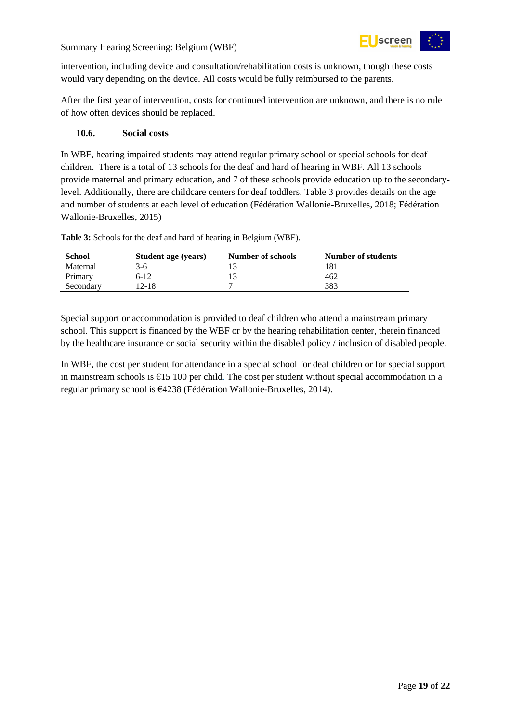

intervention, including device and consultation/rehabilitation costs is unknown, though these costs would vary depending on the device. All costs would be fully reimbursed to the parents.

After the first year of intervention, costs for continued intervention are unknown, and there is no rule of how often devices should be replaced.

#### <span id="page-18-0"></span>**10.6. Social costs**

In WBF, hearing impaired students may attend regular primary school or special schools for deaf children. There is a total of 13 schools for the deaf and hard of hearing in WBF. All 13 schools provide maternal and primary education, and 7 of these schools provide education up to the secondarylevel. Additionally, there are childcare centers for deaf toddlers. [Table 3](#page-18-1) provides details on the age and number of students at each level of education (Fédération Wallonie-Bruxelles, 2018; Fédération Wallonie-Bruxelles, 2015)

| <b>School</b> | <b>Student age (years)</b> | <b>Number of schools</b> | <b>Number of students</b> |
|---------------|----------------------------|--------------------------|---------------------------|
| Maternal      | $3-6$                      |                          | !81                       |
| Primary       | $6-12$                     |                          | 462                       |
| Secondary     | 12-18                      |                          | 383                       |

<span id="page-18-1"></span>**Table 3:** Schools for the deaf and hard of hearing in Belgium (WBF).

Special support or accommodation is provided to deaf children who attend a mainstream primary school. This support is financed by the WBF or by the hearing rehabilitation center, therein financed by the healthcare insurance or social security within the disabled policy / inclusion of disabled people.

In WBF, the cost per student for attendance in a special school for deaf children or for special support in mainstream schools is  $E15 100$  per child. The cost per student without special accommodation in a regular primary school is €4238 (Fédération Wallonie-Bruxelles, 2014).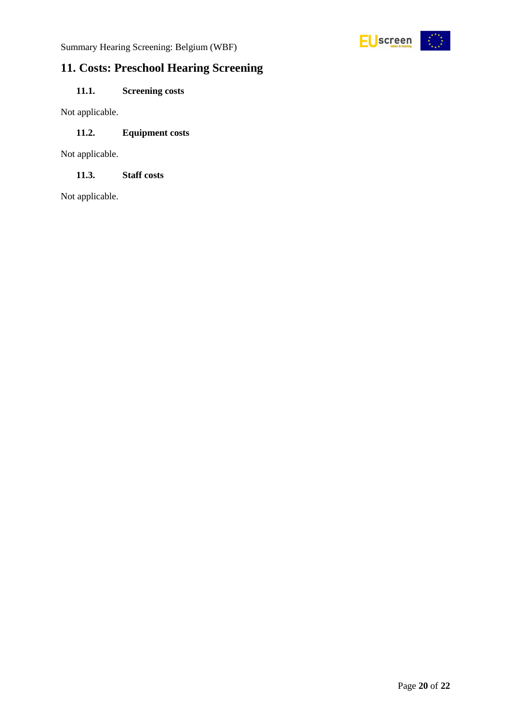

## <span id="page-19-0"></span>**11. Costs: Preschool Hearing Screening**

### <span id="page-19-1"></span>**11.1. Screening costs**

Not applicable.

#### <span id="page-19-2"></span>**11.2. Equipment costs**

Not applicable.

<span id="page-19-3"></span>**11.3. Staff costs**

Not applicable.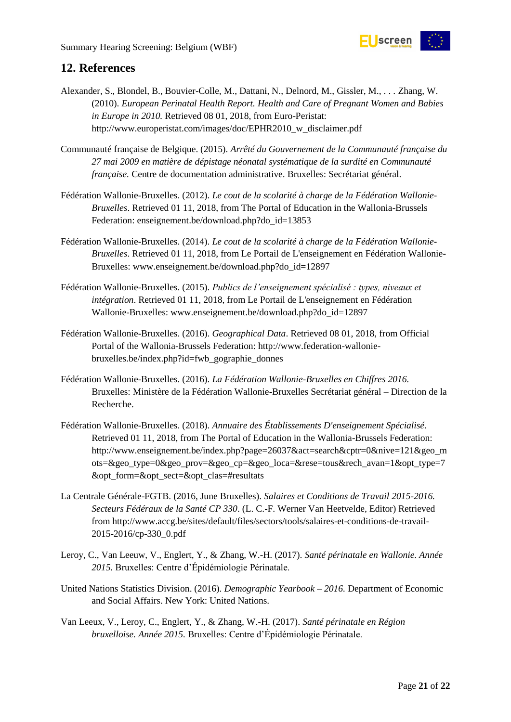

### <span id="page-20-0"></span>**12. References**

- Alexander, S., Blondel, B., Bouvier-Colle, M., Dattani, N., Delnord, M., Gissler, M., . . . Zhang, W. (2010). *European Perinatal Health Report. Health and Care of Pregnant Women and Babies in Europe in 2010.* Retrieved 08 01, 2018, from Euro-Peristat: http://www.europeristat.com/images/doc/EPHR2010\_w\_disclaimer.pdf
- Communauté française de Belgique. (2015). *Arrêté du Gouvernement de la Communauté française du 27 mai 2009 en matière de dépistage néonatal systématique de la surdité en Communauté française.* Centre de documentation administrative. Bruxelles: Secrétariat général.
- Fédération Wallonie-Bruxelles. (2012). *Le cout de la scolarité à charge de la Fédération Wallonie-Bruxelles*. Retrieved 01 11, 2018, from The Portal of Education in the Wallonia-Brussels Federation: enseignement.be/download.php?do\_id=13853
- Fédération Wallonie-Bruxelles. (2014). *Le cout de la scolarité à charge de la Fédération Wallonie-Bruxelles*. Retrieved 01 11, 2018, from Le Portail de L'enseignement en Fédération Wallonie-Bruxelles: www.enseignement.be/download.php?do\_id=12897
- Fédération Wallonie-Bruxelles. (2015). *Publics de l'enseignement spécialisé : types, niveaux et intégration*. Retrieved 01 11, 2018, from Le Portail de L'enseignement en Fédération Wallonie-Bruxelles: www.enseignement.be/download.php?do\_id=12897
- Fédération Wallonie-Bruxelles. (2016). *Geographical Data*. Retrieved 08 01, 2018, from Official Portal of the Wallonia-Brussels Federation: http://www.federation-walloniebruxelles.be/index.php?id=fwb\_gographie\_donnes
- Fédération Wallonie-Bruxelles. (2016). *La Fédération Wallonie-Bruxelles en Chiffres 2016.* Bruxelles: Ministère de la Fédération Wallonie-Bruxelles Secrétariat général – Direction de la Recherche.
- Fédération Wallonie-Bruxelles. (2018). *Annuaire des Établissements D'enseignement Spécialisé*. Retrieved 01 11, 2018, from The Portal of Education in the Wallonia-Brussels Federation: http://www.enseignement.be/index.php?page=26037&act=search&cptr=0&nive=121&geo\_m ots=&geo\_type=0&geo\_prov=&geo\_cp=&geo\_loca=&rese=tous&rech\_avan=1&opt\_type=7 &opt\_form=&opt\_sect=&opt\_clas=#resultats
- La Centrale Générale-FGTB. (2016, June Bruxelles). *Salaires et Conditions de Travail 2015-2016. Secteurs Fédéraux de la Santé CP 330*. (L. C.-F. Werner Van Heetvelde, Editor) Retrieved from http://www.accg.be/sites/default/files/sectors/tools/salaires-et-conditions-de-travail-2015-2016/cp-330\_0.pdf
- Leroy, C., Van Leeuw, V., Englert, Y., & Zhang, W.-H. (2017). *Santé périnatale en Wallonie. Année 2015.* Bruxelles: Centre d'Épidémiologie Périnatale.
- United Nations Statistics Division. (2016). *Demographic Yearbook – 2016.* Department of Economic and Social Affairs. New York: United Nations.
- Van Leeux, V., Leroy, C., Englert, Y., & Zhang, W.-H. (2017). *Santé périnatale en Région bruxelloise. Année 2015.* Bruxelles: Centre d'Épidémiologie Périnatale.